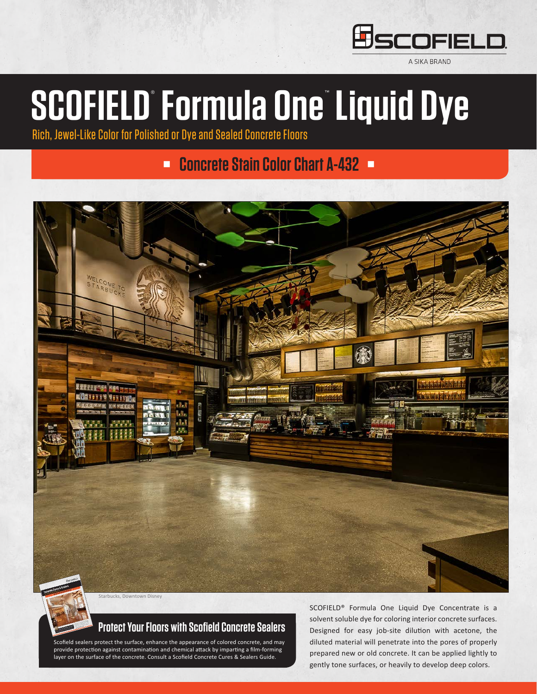

A SIKA BRAND

# **SCOFIELD**® **Formula One**™ **Liquid Dye**

Rich, Jewel-Like Color for Polished or Dye and Sealed Concrete Floors

#### **n Concrete Stain Color Chart A-432 <b>n**



#### **Protect Your Floors with Scofield Concrete Sealers**

Scofield sealers protect the surface, enhance the appearance of colored concrete, and may provide protection against contamination and chemical attack by imparting a film-forming layer on the surface of the concrete. Consult a Scofield Concrete Cures & Sealers Guide.

SCOFIELD® Formula One Liquid Dye Concentrate is a solvent soluble dye for coloring interior concrete surfaces. Designed for easy job-site dilution with acetone, the diluted material will penetrate into the pores of properly prepared new or old concrete. It can be applied lightly to gently tone surfaces, or heavily to develop deep colors.